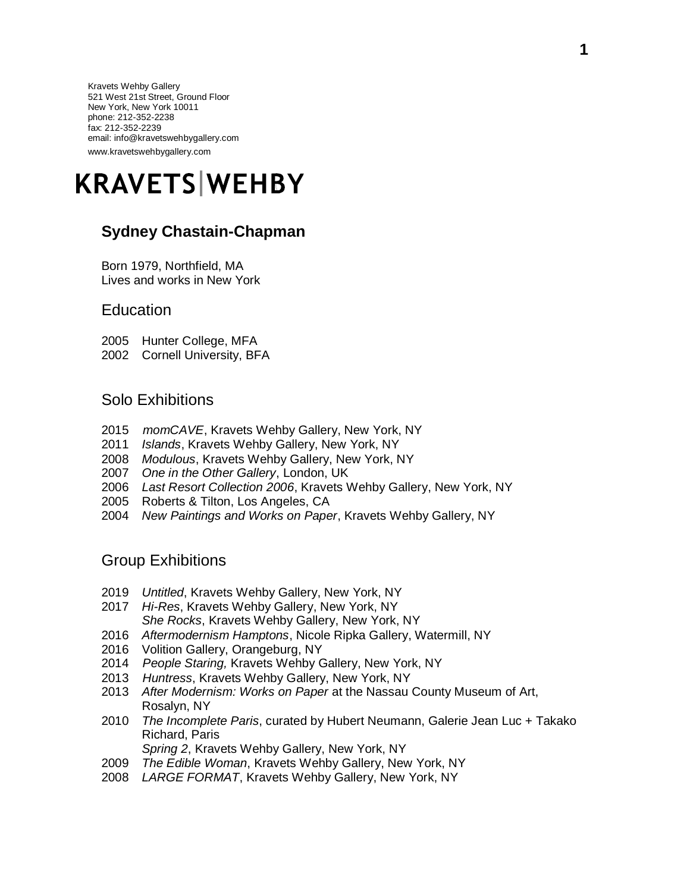Kravets Wehby Gallery 521 West 21st Street, Ground Floor New York, New York 10011 phone: 212-352-2238 fax: 212-352-2239 email: info@kravetswehbygallery.com www.kravetswehbygallery.com

# **KRAVETS WEHBY**

# **Sydney Chastain-Chapman**

Born 1979, Northfield, MA Lives and works in New York

#### **Education**

- 2005 Hunter College, MFA
- 2002 Cornell University, BFA

#### Solo Exhibitions

- 2015 *momCAVE*, Kravets Wehby Gallery, New York, NY
- 2011 *Islands*, Kravets Wehby Gallery, New York, NY
- 2008 *Modulous*, Kravets Wehby Gallery, New York, NY
- 2007 *One in the Other Gallery*, London, UK
- 2006 *Last Resort Collection 2006*, Kravets Wehby Gallery, New York, NY
- 2005 Roberts & Tilton, Los Angeles, CA
- 2004 *New Paintings and Works on Paper*, Kravets Wehby Gallery, NY

### Group Exhibitions

- 2019 *Untitled*, Kravets Wehby Gallery, New York, NY
- 2017 *Hi-Res*, Kravets Wehby Gallery, New York, NY
- *She Rocks*, Kravets Wehby Gallery, New York, NY
- 2016 *Aftermodernism Hamptons*, Nicole Ripka Gallery, Watermill, NY
- 2016 Volition Gallery, Orangeburg, NY
- 2014 *People Staring,* Kravets Wehby Gallery, New York, NY
- 2013 *Huntress*, Kravets Wehby Gallery, New York, NY
- 2013 *After Modernism: Works on Paper* at the Nassau County Museum of Art, Rosalyn, NY
- 2010 *The Incomplete Paris*, curated by Hubert Neumann, Galerie Jean Luc + Takako Richard, Paris *Spring 2*, Kravets Wehby Gallery, New York, NY
- 2009 *The Edible Woman*, Kravets Wehby Gallery, New York, NY
- 2008 *LARGE FORMAT*, Kravets Wehby Gallery, New York, NY